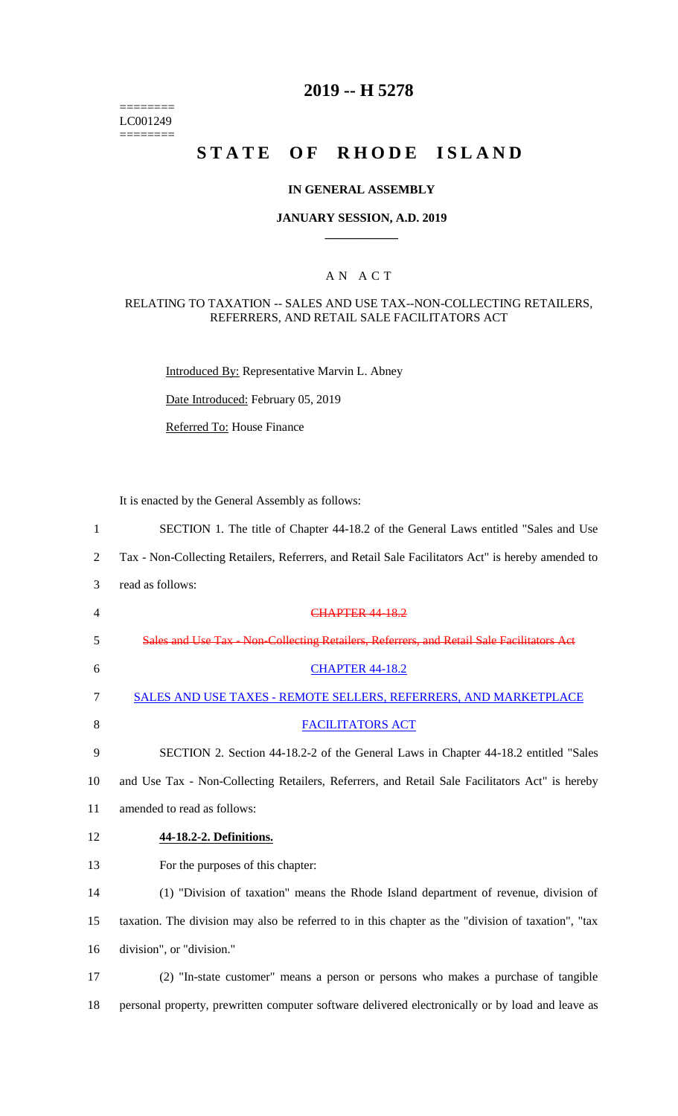======== LC001249  $=$ 

# **2019 -- H 5278**

# STATE OF RHODE ISLAND

#### **IN GENERAL ASSEMBLY**

#### **JANUARY SESSION, A.D. 2019 \_\_\_\_\_\_\_\_\_\_\_\_**

#### A N A C T

#### RELATING TO TAXATION -- SALES AND USE TAX--NON-COLLECTING RETAILERS, REFERRERS, AND RETAIL SALE FACILITATORS ACT

Introduced By: Representative Marvin L. Abney

Date Introduced: February 05, 2019

Referred To: House Finance

It is enacted by the General Assembly as follows:

| $\mathbf{1}$   | SECTION 1. The title of Chapter 44-18.2 of the General Laws entitled "Sales and Use                |
|----------------|----------------------------------------------------------------------------------------------------|
| 2              | Tax - Non-Collecting Retailers, Referrers, and Retail Sale Facilitators Act" is hereby amended to  |
| 3              | read as follows:                                                                                   |
| $\overline{4}$ | <b>CHAPTER 44-18.2</b>                                                                             |
| 5              | Sales and Use Tax - Non-Collecting Retailers, Referrers, and Retail Sale Facilitators Act          |
| 6              | <b>CHAPTER 44-18.2</b>                                                                             |
| $\tau$         | SALES AND USE TAXES - REMOTE SELLERS, REFERRERS, AND MARKETPLACE                                   |
| 8              | <b>FACILITATORS ACT</b>                                                                            |
| 9              | SECTION 2. Section 44-18.2-2 of the General Laws in Chapter 44-18.2 entitled "Sales"               |
| 10             | and Use Tax - Non-Collecting Retailers, Referrers, and Retail Sale Facilitators Act" is hereby     |
| 11             | amended to read as follows:                                                                        |
| 12             | 44-18.2-2. Definitions.                                                                            |
| 13             | For the purposes of this chapter:                                                                  |
| 14             | (1) "Division of taxation" means the Rhode Island department of revenue, division of               |
| 15             | taxation. The division may also be referred to in this chapter as the "division of taxation", "tax |
| 16             | division", or "division."                                                                          |
| 17             | (2) "In-state customer" means a person or persons who makes a purchase of tangible                 |
| 18             | personal property, prewritten computer software delivered electronically or by load and leave as   |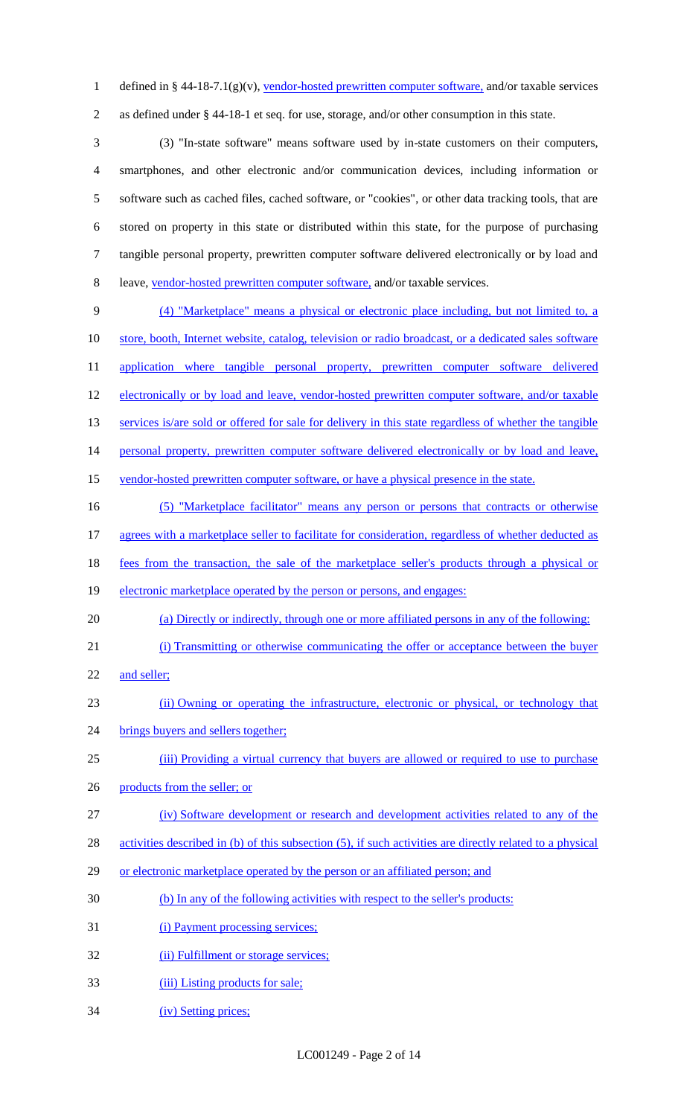1 defined in § 44-18-7.1(g)(v), vendor-hosted prewritten computer software, and/or taxable services 2 as defined under § 44-18-1 et seq. for use, storage, and/or other consumption in this state.

 (3) "In-state software" means software used by in-state customers on their computers, smartphones, and other electronic and/or communication devices, including information or software such as cached files, cached software, or "cookies", or other data tracking tools, that are stored on property in this state or distributed within this state, for the purpose of purchasing tangible personal property, prewritten computer software delivered electronically or by load and leave, vendor-hosted prewritten computer software, and/or taxable services.

9 (4) "Marketplace" means a physical or electronic place including, but not limited to, a 10 store, booth, Internet website, catalog, television or radio broadcast, or a dedicated sales software 11 application where tangible personal property, prewritten computer software delivered 12 electronically or by load and leave, vendor-hosted prewritten computer software, and/or taxable 13 services is/are sold or offered for sale for delivery in this state regardless of whether the tangible 14 personal property, prewritten computer software delivered electronically or by load and leave, 15 vendor-hosted prewritten computer software, or have a physical presence in the state. 16 (5) "Marketplace facilitator" means any person or persons that contracts or otherwise

- 17 agrees with a marketplace seller to facilitate for consideration, regardless of whether deducted as
- 18 fees from the transaction, the sale of the marketplace seller's products through a physical or
- 19 electronic marketplace operated by the person or persons, and engages:
- 20 (a) Directly or indirectly, through one or more affiliated persons in any of the following:
- 21 (i) Transmitting or otherwise communicating the offer or acceptance between the buyer
- 22 and seller;
- 23 (ii) Owning or operating the infrastructure, electronic or physical, or technology that
- 24 brings buyers and sellers together;
- 25 (iii) Providing a virtual currency that buyers are allowed or required to use to purchase
- 26 products from the seller; or
- 27 (iv) Software development or research and development activities related to any of the
- 28 activities described in (b) of this subsection (5), if such activities are directly related to a physical
- 29 or electronic marketplace operated by the person or an affiliated person; and
- 30 (b) In any of the following activities with respect to the seller's products:
- 31 (i) Payment processing services;
- 32 (ii) Fulfillment or storage services;
- 33 (iii) Listing products for sale;
- 34 (iv) Setting prices;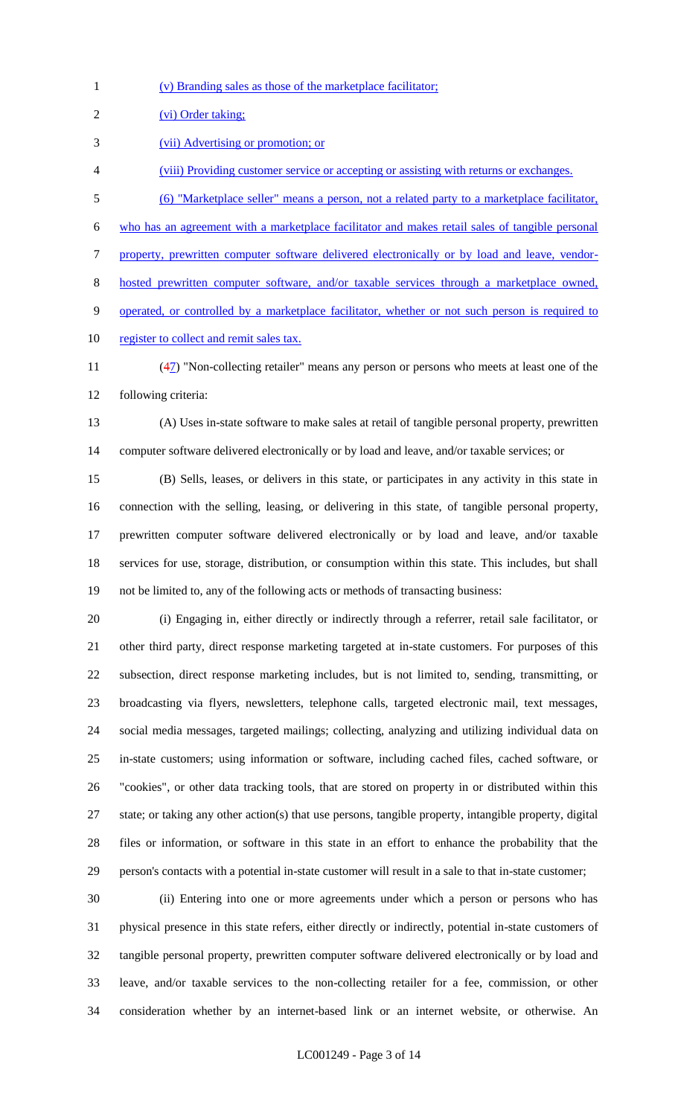(v) Branding sales as those of the marketplace facilitator; 2 (vi) Order taking; (vii) Advertising or promotion; or (viii) Providing customer service or accepting or assisting with returns or exchanges. (6) "Marketplace seller" means a person, not a related party to a marketplace facilitator, who has an agreement with a marketplace facilitator and makes retail sales of tangible personal property, prewritten computer software delivered electronically or by load and leave, vendor- hosted prewritten computer software, and/or taxable services through a marketplace owned, operated, or controlled by a marketplace facilitator, whether or not such person is required to 10 register to collect and remit sales tax. (47) "Non-collecting retailer" means any person or persons who meets at least one of the

following criteria:

 (A) Uses in-state software to make sales at retail of tangible personal property, prewritten computer software delivered electronically or by load and leave, and/or taxable services; or

 (B) Sells, leases, or delivers in this state, or participates in any activity in this state in connection with the selling, leasing, or delivering in this state, of tangible personal property, prewritten computer software delivered electronically or by load and leave, and/or taxable services for use, storage, distribution, or consumption within this state. This includes, but shall not be limited to, any of the following acts or methods of transacting business:

 (i) Engaging in, either directly or indirectly through a referrer, retail sale facilitator, or other third party, direct response marketing targeted at in-state customers. For purposes of this subsection, direct response marketing includes, but is not limited to, sending, transmitting, or broadcasting via flyers, newsletters, telephone calls, targeted electronic mail, text messages, social media messages, targeted mailings; collecting, analyzing and utilizing individual data on in-state customers; using information or software, including cached files, cached software, or "cookies", or other data tracking tools, that are stored on property in or distributed within this state; or taking any other action(s) that use persons, tangible property, intangible property, digital files or information, or software in this state in an effort to enhance the probability that the person's contacts with a potential in-state customer will result in a sale to that in-state customer;

 (ii) Entering into one or more agreements under which a person or persons who has physical presence in this state refers, either directly or indirectly, potential in-state customers of tangible personal property, prewritten computer software delivered electronically or by load and leave, and/or taxable services to the non-collecting retailer for a fee, commission, or other consideration whether by an internet-based link or an internet website, or otherwise. An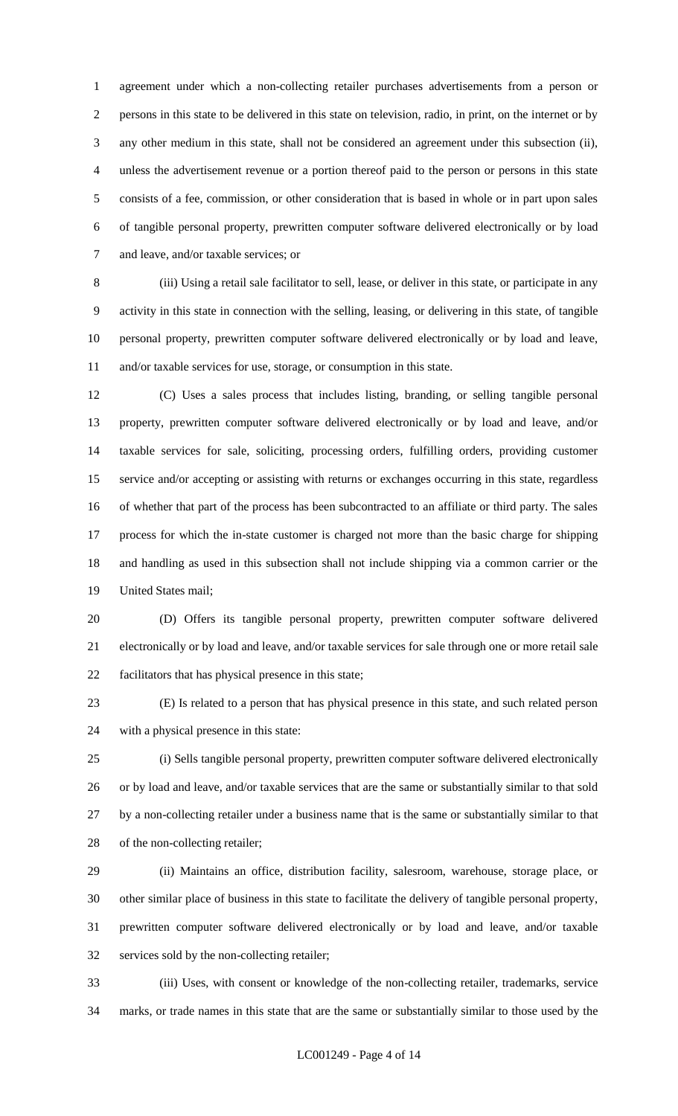agreement under which a non-collecting retailer purchases advertisements from a person or persons in this state to be delivered in this state on television, radio, in print, on the internet or by any other medium in this state, shall not be considered an agreement under this subsection (ii), unless the advertisement revenue or a portion thereof paid to the person or persons in this state consists of a fee, commission, or other consideration that is based in whole or in part upon sales of tangible personal property, prewritten computer software delivered electronically or by load and leave, and/or taxable services; or

 (iii) Using a retail sale facilitator to sell, lease, or deliver in this state, or participate in any activity in this state in connection with the selling, leasing, or delivering in this state, of tangible personal property, prewritten computer software delivered electronically or by load and leave, and/or taxable services for use, storage, or consumption in this state.

 (C) Uses a sales process that includes listing, branding, or selling tangible personal property, prewritten computer software delivered electronically or by load and leave, and/or taxable services for sale, soliciting, processing orders, fulfilling orders, providing customer service and/or accepting or assisting with returns or exchanges occurring in this state, regardless of whether that part of the process has been subcontracted to an affiliate or third party. The sales process for which the in-state customer is charged not more than the basic charge for shipping and handling as used in this subsection shall not include shipping via a common carrier or the United States mail;

 (D) Offers its tangible personal property, prewritten computer software delivered electronically or by load and leave, and/or taxable services for sale through one or more retail sale facilitators that has physical presence in this state;

 (E) Is related to a person that has physical presence in this state, and such related person with a physical presence in this state:

 (i) Sells tangible personal property, prewritten computer software delivered electronically or by load and leave, and/or taxable services that are the same or substantially similar to that sold by a non-collecting retailer under a business name that is the same or substantially similar to that of the non-collecting retailer;

 (ii) Maintains an office, distribution facility, salesroom, warehouse, storage place, or other similar place of business in this state to facilitate the delivery of tangible personal property, prewritten computer software delivered electronically or by load and leave, and/or taxable services sold by the non-collecting retailer;

 (iii) Uses, with consent or knowledge of the non-collecting retailer, trademarks, service marks, or trade names in this state that are the same or substantially similar to those used by the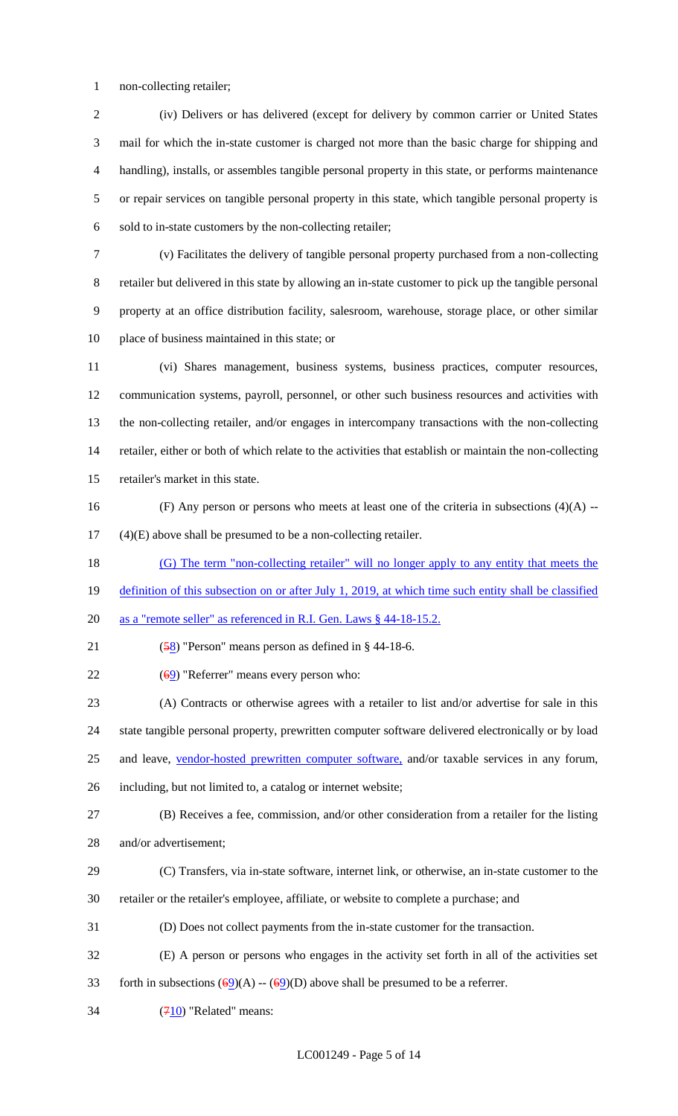non-collecting retailer;

 (iv) Delivers or has delivered (except for delivery by common carrier or United States mail for which the in-state customer is charged not more than the basic charge for shipping and handling), installs, or assembles tangible personal property in this state, or performs maintenance or repair services on tangible personal property in this state, which tangible personal property is sold to in-state customers by the non-collecting retailer;

 (v) Facilitates the delivery of tangible personal property purchased from a non-collecting retailer but delivered in this state by allowing an in-state customer to pick up the tangible personal property at an office distribution facility, salesroom, warehouse, storage place, or other similar place of business maintained in this state; or

 (vi) Shares management, business systems, business practices, computer resources, communication systems, payroll, personnel, or other such business resources and activities with the non-collecting retailer, and/or engages in intercompany transactions with the non-collecting retailer, either or both of which relate to the activities that establish or maintain the non-collecting retailer's market in this state.

16 (F) Any person or persons who meets at least one of the criteria in subsections  $(4)(A)$  --(4)(E) above shall be presumed to be a non-collecting retailer.

(G) The term "non-collecting retailer" will no longer apply to any entity that meets the

19 definition of this subsection on or after July 1, 2019, at which time such entity shall be classified

- as a "remote seller" as referenced in R.I. Gen. Laws § 44-18-15.2.
- 21  $(58)$  "Person" means person as defined in § 44-18-6.
- 22  $(69)$  "Referrer" means every person who:

 (A) Contracts or otherwise agrees with a retailer to list and/or advertise for sale in this state tangible personal property, prewritten computer software delivered electronically or by load 25 and leave, vendor-hosted prewritten computer software, and/or taxable services in any forum, including, but not limited to, a catalog or internet website;

- (B) Receives a fee, commission, and/or other consideration from a retailer for the listing
- and/or advertisement;
- (C) Transfers, via in-state software, internet link, or otherwise, an in-state customer to the retailer or the retailer's employee, affiliate, or website to complete a purchase; and
- (D) Does not collect payments from the in-state customer for the transaction.
- (E) A person or persons who engages in the activity set forth in all of the activities set
- 33 forth in subsections  $(69)(A) (69)(D)$  above shall be presumed to be a referrer.
- $34 \qquad (710)$  "Related" means: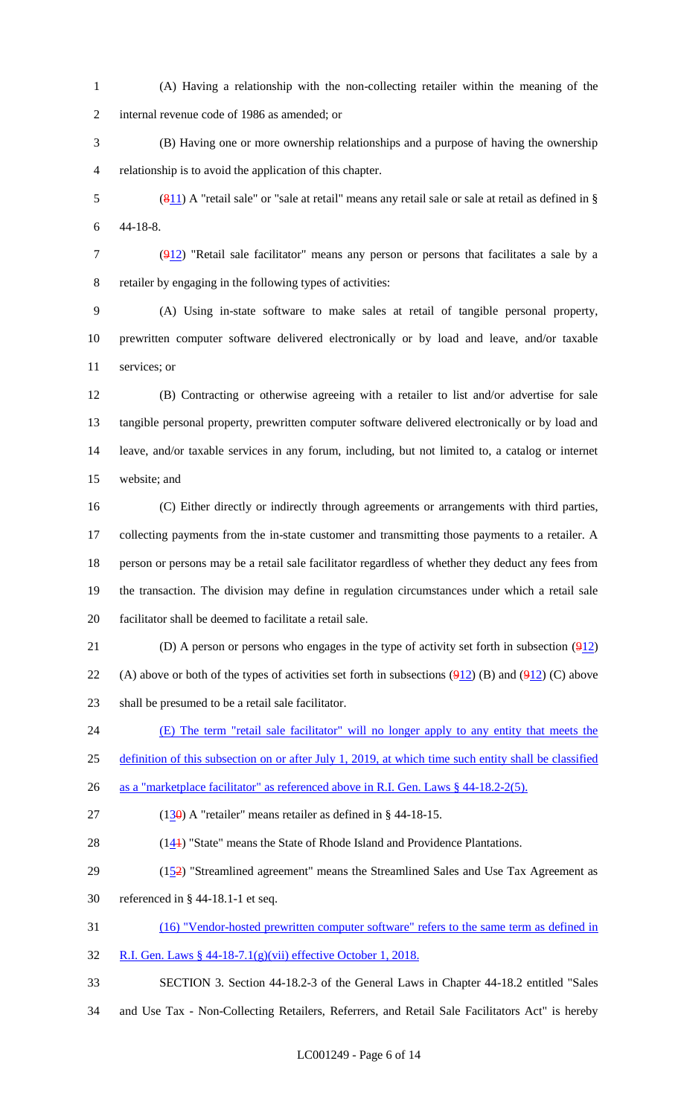(A) Having a relationship with the non-collecting retailer within the meaning of the internal revenue code of 1986 as amended; or

 (B) Having one or more ownership relationships and a purpose of having the ownership relationship is to avoid the application of this chapter.

 (811) A "retail sale" or "sale at retail" means any retail sale or sale at retail as defined in § 44-18-8.

 (912) "Retail sale facilitator" means any person or persons that facilitates a sale by a retailer by engaging in the following types of activities:

 (A) Using in-state software to make sales at retail of tangible personal property, prewritten computer software delivered electronically or by load and leave, and/or taxable services; or

 (B) Contracting or otherwise agreeing with a retailer to list and/or advertise for sale tangible personal property, prewritten computer software delivered electronically or by load and leave, and/or taxable services in any forum, including, but not limited to, a catalog or internet website; and

 (C) Either directly or indirectly through agreements or arrangements with third parties, 17 collecting payments from the in-state customer and transmitting those payments to a retailer. A person or persons may be a retail sale facilitator regardless of whether they deduct any fees from the transaction. The division may define in regulation circumstances under which a retail sale facilitator shall be deemed to facilitate a retail sale.

21 (D) A person or persons who engages in the type of activity set forth in subsection  $(912)$ 22 (A) above or both of the types of activities set forth in subsections  $(912)$  (B) and  $(912)$  (C) above shall be presumed to be a retail sale facilitator.

(E) The term "retail sale facilitator" will no longer apply to any entity that meets the

definition of this subsection on or after July 1, 2019, at which time such entity shall be classified

as a "marketplace facilitator" as referenced above in R.I. Gen. Laws § 44-18.2-2(5).

27 (130) A "retailer" means retailer as defined in  $\S$  44-18-15.

28  $(14)$  "State" means the State of Rhode Island and Providence Plantations.

29  $(152)$  "Streamlined agreement" means the Streamlined Sales and Use Tax Agreement as referenced in § 44-18.1-1 et seq.

(16) "Vendor-hosted prewritten computer software" refers to the same term as defined in

R.I. Gen. Laws § 44-18-7.1(g)(vii) effective October 1, 2018.

SECTION 3. Section 44-18.2-3 of the General Laws in Chapter 44-18.2 entitled "Sales

and Use Tax - Non-Collecting Retailers, Referrers, and Retail Sale Facilitators Act" is hereby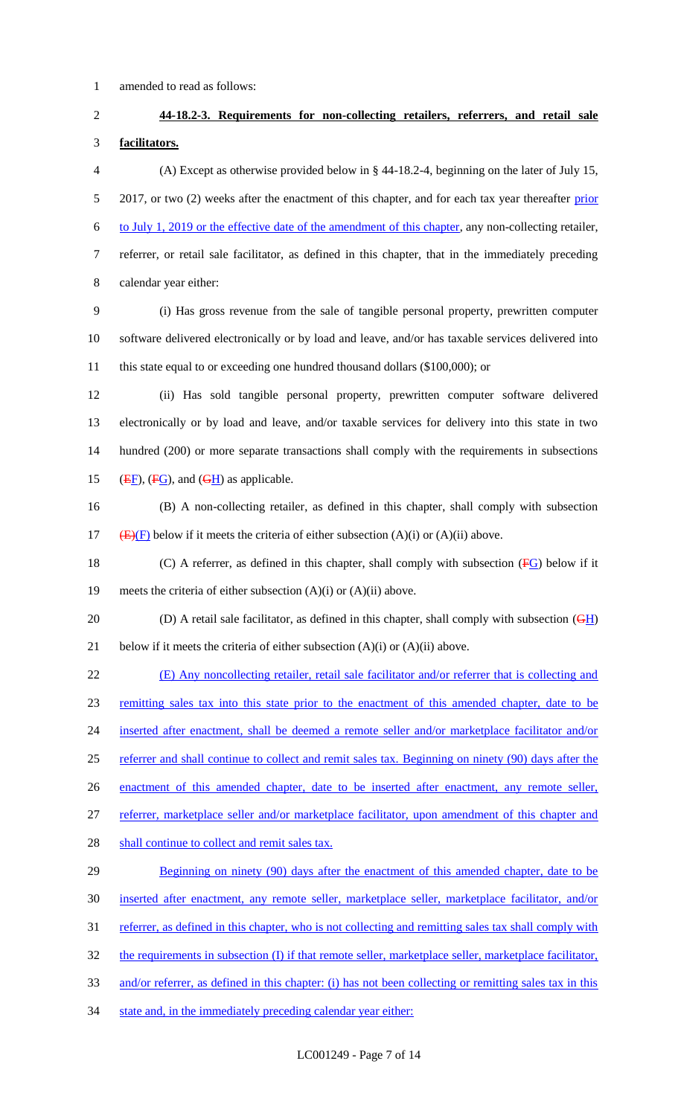1 amended to read as follows:

2 **44-18.2-3. Requirements for non-collecting retailers, referrers, and retail sale**  3 **facilitators.** 4 (A) Except as otherwise provided below in § 44-18.2-4, beginning on the later of July 15, 5 2017, or two (2) weeks after the enactment of this chapter, and for each tax year thereafter prior 6 to July 1, 2019 or the effective date of the amendment of this chapter, any non-collecting retailer, 7 referrer, or retail sale facilitator, as defined in this chapter, that in the immediately preceding 8 calendar year either: 9 (i) Has gross revenue from the sale of tangible personal property, prewritten computer 10 software delivered electronically or by load and leave, and/or has taxable services delivered into 11 this state equal to or exceeding one hundred thousand dollars (\$100,000); or 12 (ii) Has sold tangible personal property, prewritten computer software delivered 13 electronically or by load and leave, and/or taxable services for delivery into this state in two 14 hundred (200) or more separate transactions shall comply with the requirements in subsections 15 ( $\overline{EF}$ ), ( $\overline{FG}$ ), and ( $\overline{GH}$ ) as applicable. 16 (B) A non-collecting retailer, as defined in this chapter, shall comply with subsection 17 (E)(F) below if it meets the criteria of either subsection (A)(i) or (A)(ii) above. 18 (C) A referrer, as defined in this chapter, shall comply with subsection  $(FG)$  below if it 19 meets the criteria of either subsection  $(A)(i)$  or  $(A)(ii)$  above. 20 (D) A retail sale facilitator, as defined in this chapter, shall comply with subsection  $(\overline{GH})$ 21 below if it meets the criteria of either subsection  $(A)(i)$  or  $(A)(ii)$  above. 22 (E) Any noncollecting retailer, retail sale facilitator and/or referrer that is collecting and 23 remitting sales tax into this state prior to the enactment of this amended chapter, date to be 24 inserted after enactment, shall be deemed a remote seller and/or marketplace facilitator and/or 25 referrer and shall continue to collect and remit sales tax. Beginning on ninety (90) days after the 26 enactment of this amended chapter, date to be inserted after enactment, any remote seller, 27 referrer, marketplace seller and/or marketplace facilitator, upon amendment of this chapter and 28 shall continue to collect and remit sales tax. 29 Beginning on ninety (90) days after the enactment of this amended chapter, date to be 30 inserted after enactment, any remote seller, marketplace seller, marketplace facilitator, and/or 31 referrer, as defined in this chapter, who is not collecting and remitting sales tax shall comply with 32 the requirements in subsection (I) if that remote seller, marketplace seller, marketplace facilitator, 33 and/or referrer, as defined in this chapter: (i) has not been collecting or remitting sales tax in this 34 state and, in the immediately preceding calendar year either: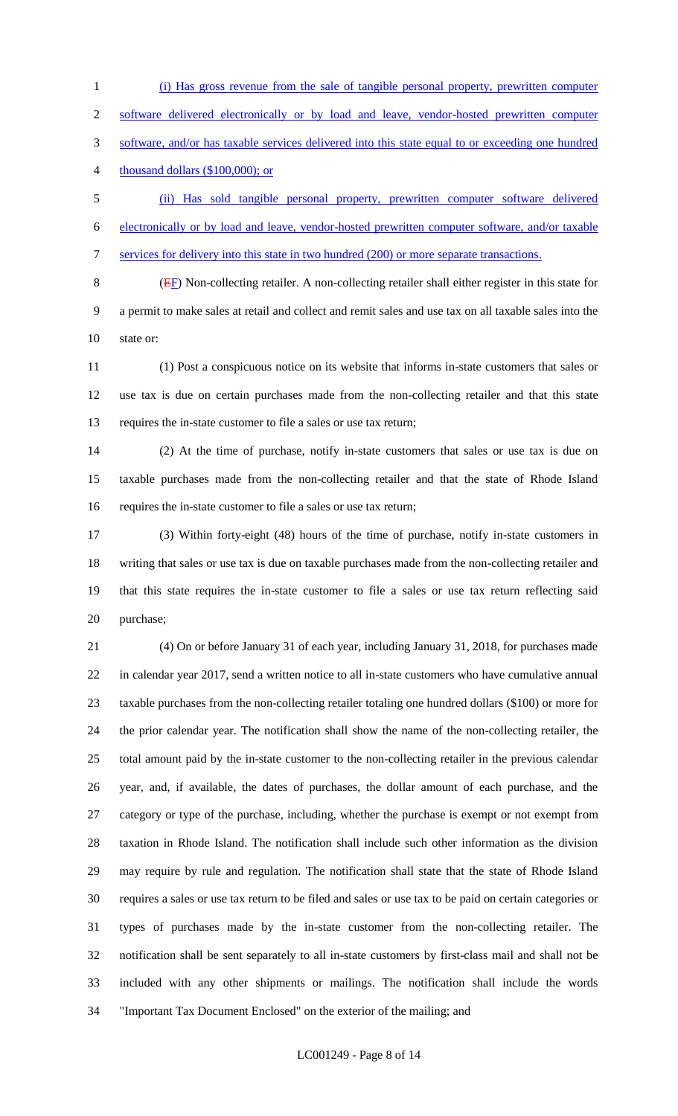(i) Has gross revenue from the sale of tangible personal property, prewritten computer software delivered electronically or by load and leave, vendor-hosted prewritten computer software, and/or has taxable services delivered into this state equal to or exceeding one hundred 4 thousand dollars (\$100,000); or

 (ii) Has sold tangible personal property, prewritten computer software delivered electronically or by load and leave, vendor-hosted prewritten computer software, and/or taxable services for delivery into this state in two hundred (200) or more separate transactions.

 (EF) Non-collecting retailer. A non-collecting retailer shall either register in this state for a permit to make sales at retail and collect and remit sales and use tax on all taxable sales into the state or:

 (1) Post a conspicuous notice on its website that informs in-state customers that sales or use tax is due on certain purchases made from the non-collecting retailer and that this state requires the in-state customer to file a sales or use tax return;

 (2) At the time of purchase, notify in-state customers that sales or use tax is due on taxable purchases made from the non-collecting retailer and that the state of Rhode Island requires the in-state customer to file a sales or use tax return;

 (3) Within forty-eight (48) hours of the time of purchase, notify in-state customers in writing that sales or use tax is due on taxable purchases made from the non-collecting retailer and that this state requires the in-state customer to file a sales or use tax return reflecting said purchase;

 (4) On or before January 31 of each year, including January 31, 2018, for purchases made in calendar year 2017, send a written notice to all in-state customers who have cumulative annual taxable purchases from the non-collecting retailer totaling one hundred dollars (\$100) or more for the prior calendar year. The notification shall show the name of the non-collecting retailer, the total amount paid by the in-state customer to the non-collecting retailer in the previous calendar year, and, if available, the dates of purchases, the dollar amount of each purchase, and the category or type of the purchase, including, whether the purchase is exempt or not exempt from taxation in Rhode Island. The notification shall include such other information as the division may require by rule and regulation. The notification shall state that the state of Rhode Island requires a sales or use tax return to be filed and sales or use tax to be paid on certain categories or types of purchases made by the in-state customer from the non-collecting retailer. The notification shall be sent separately to all in-state customers by first-class mail and shall not be included with any other shipments or mailings. The notification shall include the words "Important Tax Document Enclosed" on the exterior of the mailing; and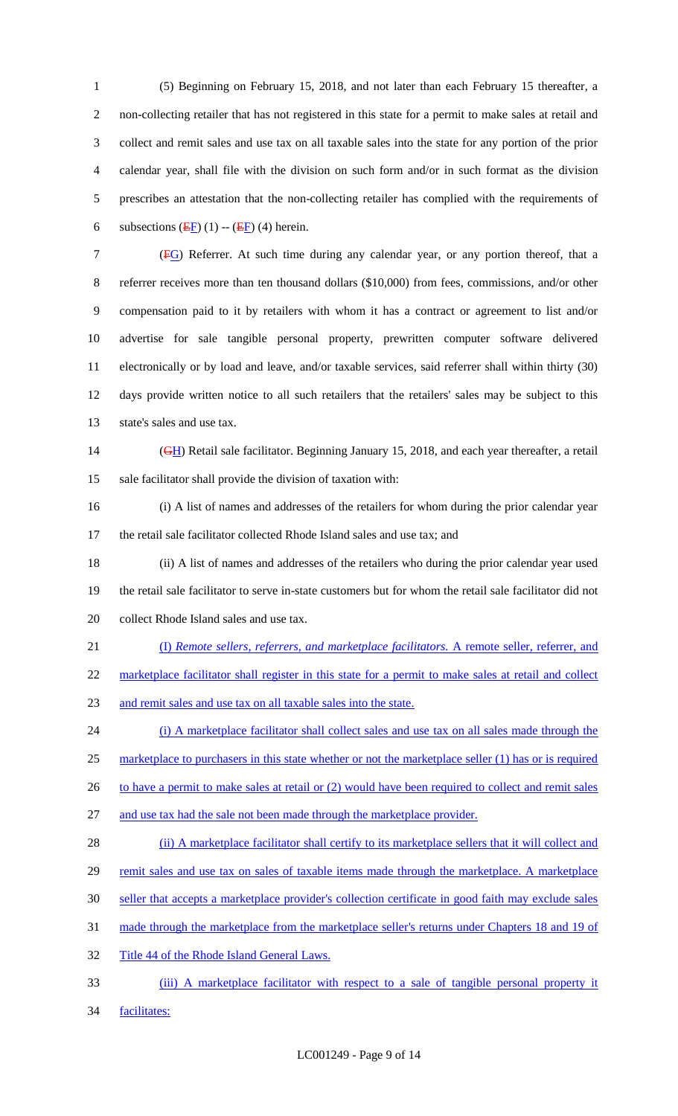(5) Beginning on February 15, 2018, and not later than each February 15 thereafter, a non-collecting retailer that has not registered in this state for a permit to make sales at retail and collect and remit sales and use tax on all taxable sales into the state for any portion of the prior calendar year, shall file with the division on such form and/or in such format as the division prescribes an attestation that the non-collecting retailer has complied with the requirements of 6 subsections  $(EF)(1)$  --  $(EF)(4)$  herein.

 (FG) Referrer. At such time during any calendar year, or any portion thereof, that a 8 referrer receives more than ten thousand dollars (\$10,000) from fees, commissions, and/or other compensation paid to it by retailers with whom it has a contract or agreement to list and/or advertise for sale tangible personal property, prewritten computer software delivered electronically or by load and leave, and/or taxable services, said referrer shall within thirty (30) days provide written notice to all such retailers that the retailers' sales may be subject to this state's sales and use tax.

14 (GH) Retail sale facilitator. Beginning January 15, 2018, and each year thereafter, a retail sale facilitator shall provide the division of taxation with:

 (i) A list of names and addresses of the retailers for whom during the prior calendar year the retail sale facilitator collected Rhode Island sales and use tax; and

 (ii) A list of names and addresses of the retailers who during the prior calendar year used the retail sale facilitator to serve in-state customers but for whom the retail sale facilitator did not collect Rhode Island sales and use tax.

(I) *Remote sellers, referrers, and marketplace facilitators.* A remote seller, referrer, and

22 marketplace facilitator shall register in this state for a permit to make sales at retail and collect

and remit sales and use tax on all taxable sales into the state.

 (i) A marketplace facilitator shall collect sales and use tax on all sales made through the marketplace to purchasers in this state whether or not the marketplace seller (1) has or is required 26 to have a permit to make sales at retail or (2) would have been required to collect and remit sales

and use tax had the sale not been made through the marketplace provider.

28 (ii) A marketplace facilitator shall certify to its marketplace sellers that it will collect and

29 remit sales and use tax on sales of taxable items made through the marketplace. A marketplace

- seller that accepts a marketplace provider's collection certificate in good faith may exclude sales
- made through the marketplace from the marketplace seller's returns under Chapters 18 and 19 of
- 32 Title 44 of the Rhode Island General Laws.
- (iii) A marketplace facilitator with respect to a sale of tangible personal property it
- facilitates: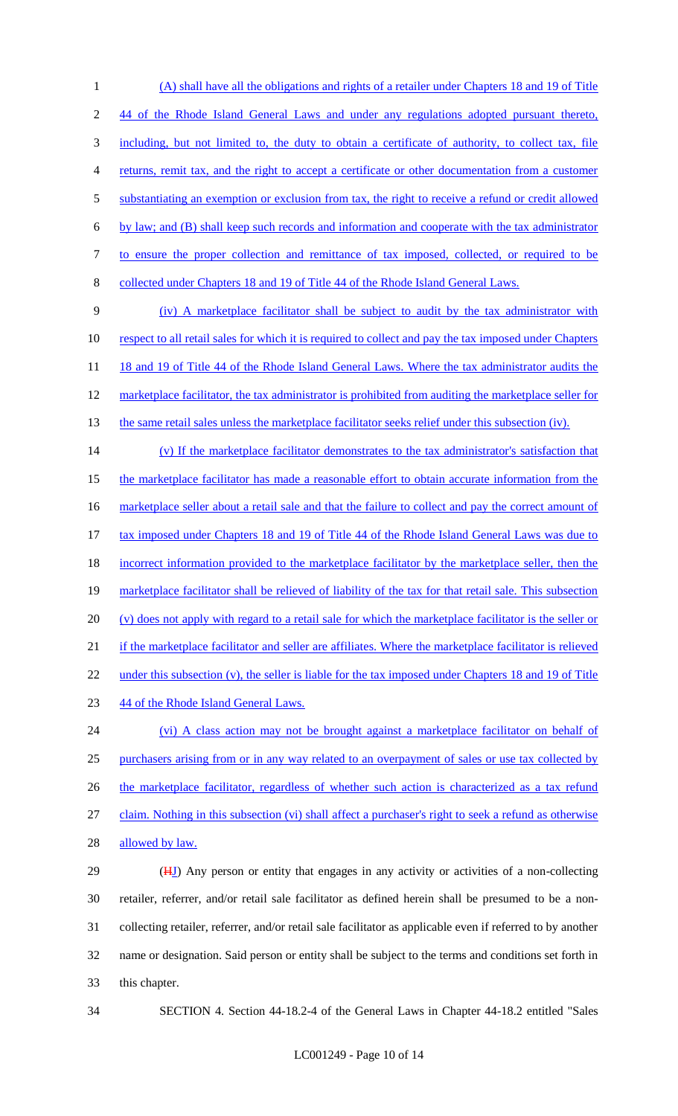(A) shall have all the obligations and rights of a retailer under Chapters 18 and 19 of Title 44 of the Rhode Island General Laws and under any regulations adopted pursuant thereto, including, but not limited to, the duty to obtain a certificate of authority, to collect tax, file returns, remit tax, and the right to accept a certificate or other documentation from a customer 5 substantiating an exemption or exclusion from tax, the right to receive a refund or credit allowed by law; and (B) shall keep such records and information and cooperate with the tax administrator to ensure the proper collection and remittance of tax imposed, collected, or required to be collected under Chapters 18 and 19 of Title 44 of the Rhode Island General Laws. (iv) A marketplace facilitator shall be subject to audit by the tax administrator with 10 respect to all retail sales for which it is required to collect and pay the tax imposed under Chapters

11 18 and 19 of Title 44 of the Rhode Island General Laws. Where the tax administrator audits the 12 marketplace facilitator, the tax administrator is prohibited from auditing the marketplace seller for

13 the same retail sales unless the marketplace facilitator seeks relief under this subsection (iv).

14 (v) If the marketplace facilitator demonstrates to the tax administrator's satisfaction that 15 the marketplace facilitator has made a reasonable effort to obtain accurate information from the 16 marketplace seller about a retail sale and that the failure to collect and pay the correct amount of 17 tax imposed under Chapters 18 and 19 of Title 44 of the Rhode Island General Laws was due to 18 incorrect information provided to the marketplace facilitator by the marketplace seller, then the 19 marketplace facilitator shall be relieved of liability of the tax for that retail sale. This subsection 20 (v) does not apply with regard to a retail sale for which the marketplace facilitator is the seller or 21 if the marketplace facilitator and seller are affiliates. Where the marketplace facilitator is relieved 22 under this subsection (v), the seller is liable for the tax imposed under Chapters 18 and 19 of Title 23 44 of the Rhode Island General Laws.

24 (vi) A class action may not be brought against a marketplace facilitator on behalf of 25 purchasers arising from or in any way related to an overpayment of sales or use tax collected by 26 the marketplace facilitator, regardless of whether such action is characterized as a tax refund 27 claim. Nothing in this subsection (vi) shall affect a purchaser's right to seek a refund as otherwise 28 allowed by law.

29 (HJ) Any person or entity that engages in any activity or activities of a non-collecting retailer, referrer, and/or retail sale facilitator as defined herein shall be presumed to be a non- collecting retailer, referrer, and/or retail sale facilitator as applicable even if referred to by another name or designation. Said person or entity shall be subject to the terms and conditions set forth in this chapter.

34 SECTION 4. Section 44-18.2-4 of the General Laws in Chapter 44-18.2 entitled "Sales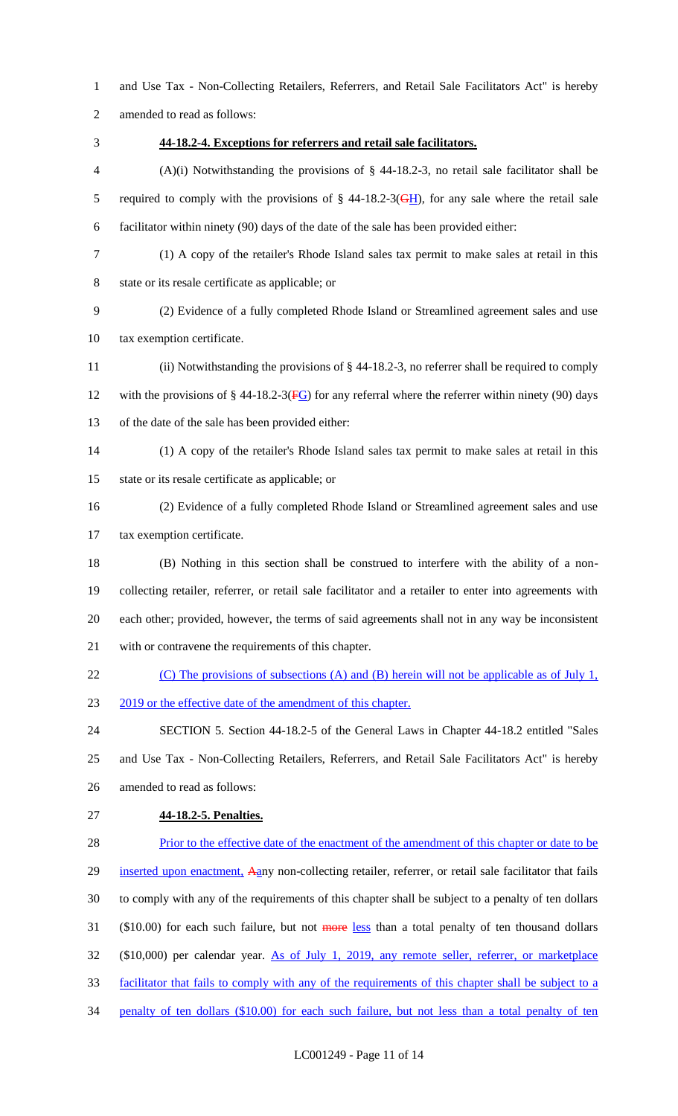and Use Tax - Non-Collecting Retailers, Referrers, and Retail Sale Facilitators Act" is hereby

amended to read as follows:

## **44-18.2-4. Exceptions for referrers and retail sale facilitators.**

 (A)(i) Notwithstanding the provisions of § 44-18.2-3, no retail sale facilitator shall be 5 required to comply with the provisions of  $\S$  44-18.2-3( $\frac{GH}{H}$ ), for any sale where the retail sale facilitator within ninety (90) days of the date of the sale has been provided either:

- (1) A copy of the retailer's Rhode Island sales tax permit to make sales at retail in this
- state or its resale certificate as applicable; or

 (2) Evidence of a fully completed Rhode Island or Streamlined agreement sales and use tax exemption certificate.

 (ii) Notwithstanding the provisions of § 44-18.2-3, no referrer shall be required to comply 12 with the provisions of  $\S$  44-18.2-3( $\overline{FG}$ ) for any referral where the referrer within ninety (90) days of the date of the sale has been provided either:

- (1) A copy of the retailer's Rhode Island sales tax permit to make sales at retail in this state or its resale certificate as applicable; or
- 

 (2) Evidence of a fully completed Rhode Island or Streamlined agreement sales and use tax exemption certificate.

 (B) Nothing in this section shall be construed to interfere with the ability of a non- collecting retailer, referrer, or retail sale facilitator and a retailer to enter into agreements with each other; provided, however, the terms of said agreements shall not in any way be inconsistent with or contravene the requirements of this chapter.

- 22 (C) The provisions of subsections (A) and (B) herein will not be applicable as of July 1,
- 23 2019 or the effective date of the amendment of this chapter.

 SECTION 5. Section 44-18.2-5 of the General Laws in Chapter 44-18.2 entitled "Sales and Use Tax - Non-Collecting Retailers, Referrers, and Retail Sale Facilitators Act" is hereby amended to read as follows:

**44-18.2-5. Penalties.**

28 Prior to the effective date of the enactment of the amendment of this chapter or date to be 29 inserted upon enactment, Aany non-collecting retailer, referrer, or retail sale facilitator that fails to comply with any of the requirements of this chapter shall be subject to a penalty of ten dollars 31 (\$10.00) for each such failure, but not more less than a total penalty of ten thousand dollars (\$10,000) per calendar year. As of July 1, 2019, any remote seller, referrer, or marketplace facilitator that fails to comply with any of the requirements of this chapter shall be subject to a 34 penalty of ten dollars (\$10.00) for each such failure, but not less than a total penalty of ten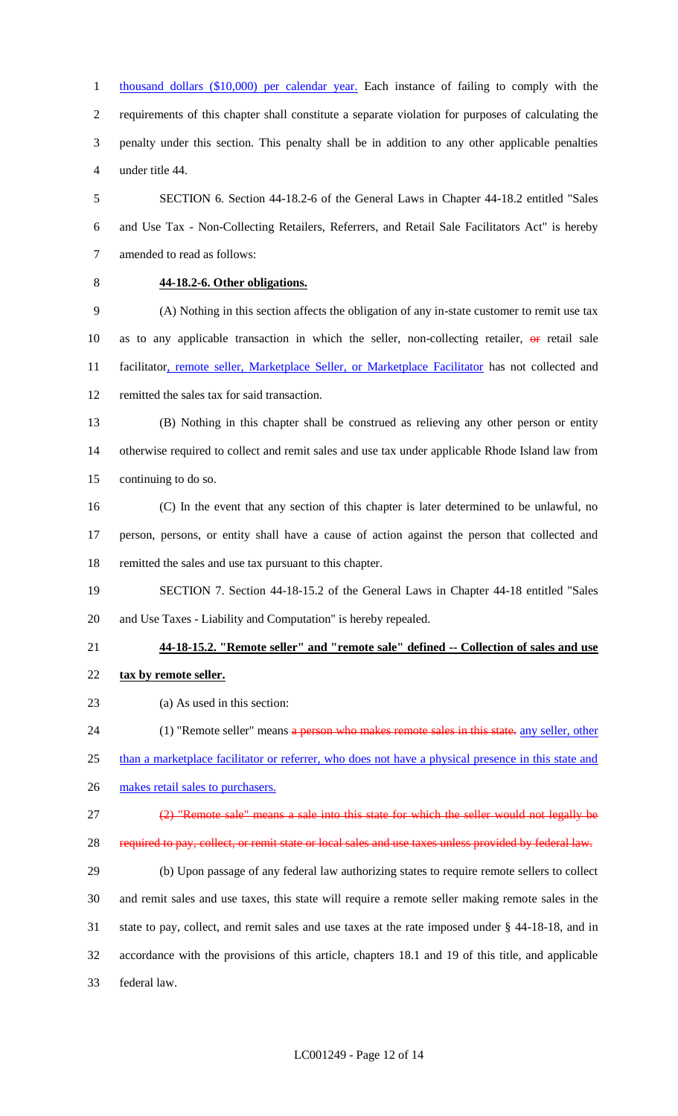thousand dollars (\$10,000) per calendar year. Each instance of failing to comply with the requirements of this chapter shall constitute a separate violation for purposes of calculating the penalty under this section. This penalty shall be in addition to any other applicable penalties under title 44.

 SECTION 6. Section 44-18.2-6 of the General Laws in Chapter 44-18.2 entitled "Sales and Use Tax - Non-Collecting Retailers, Referrers, and Retail Sale Facilitators Act" is hereby amended to read as follows:

# **44-18.2-6. Other obligations.**

 (A) Nothing in this section affects the obligation of any in-state customer to remit use tax 10 as to any applicable transaction in which the seller, non-collecting retailer,  $\Theta$  retail sale 11 facilitator, remote seller, Marketplace Seller, or Marketplace Facilitator has not collected and remitted the sales tax for said transaction.

- (B) Nothing in this chapter shall be construed as relieving any other person or entity otherwise required to collect and remit sales and use tax under applicable Rhode Island law from continuing to do so.
- (C) In the event that any section of this chapter is later determined to be unlawful, no person, persons, or entity shall have a cause of action against the person that collected and remitted the sales and use tax pursuant to this chapter.
- SECTION 7. Section 44-18-15.2 of the General Laws in Chapter 44-18 entitled "Sales and Use Taxes - Liability and Computation" is hereby repealed.
- 

### **44-18-15.2. "Remote seller" and "remote sale" defined -- Collection of sales and use**

- **tax by remote seller.**
- (a) As used in this section:
- 24 (1) "Remote seller" means a person who makes remote sales in this state. any seller, other
- 25 than a marketplace facilitator or referrer, who does not have a physical presence in this state and
- 26 makes retail sales to purchasers.
- (2) "Remote sale" means a sale into this state for which the seller would not legally be
- required to pay, collect, or remit state or local sales and use taxes unless provided by federal law.

 (b) Upon passage of any federal law authorizing states to require remote sellers to collect and remit sales and use taxes, this state will require a remote seller making remote sales in the state to pay, collect, and remit sales and use taxes at the rate imposed under § 44-18-18, and in accordance with the provisions of this article, chapters 18.1 and 19 of this title, and applicable federal law.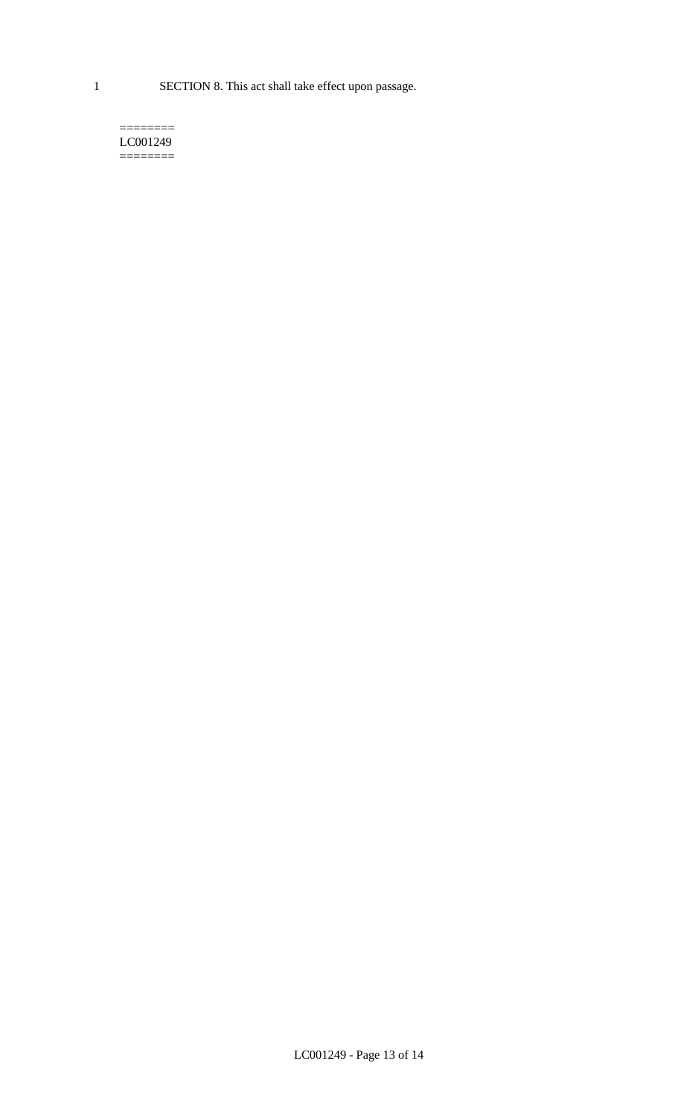1 SECTION 8. This act shall take effect upon passage.

#### $=$ LC001249  $=$